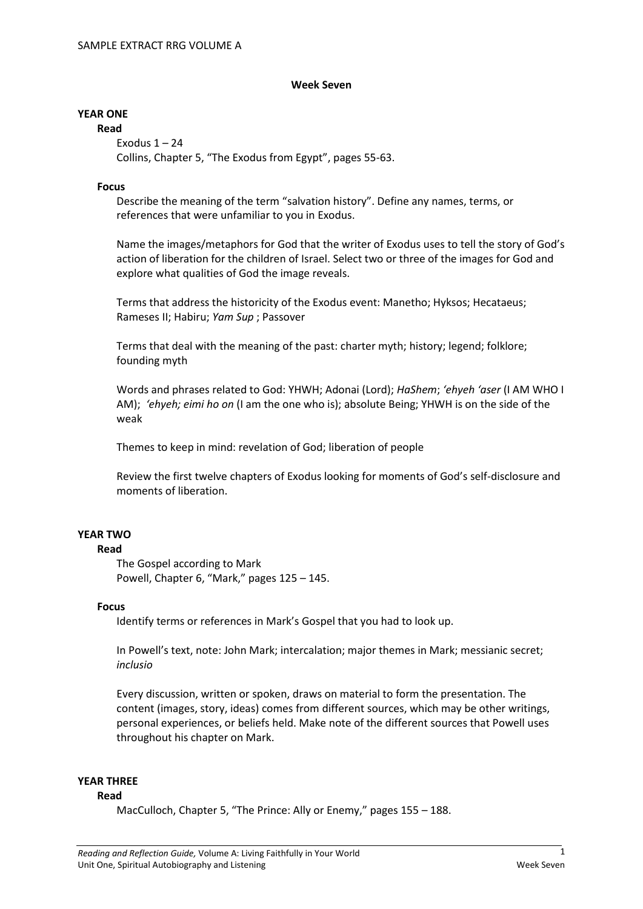#### **Week Seven**

## **YEAR ONE**

**Read** Exodus  $1 - 24$ Collins, Chapter 5, "The Exodus from Egypt", pages 55-63.

## **Focus**

Describe the meaning of the term "salvation history". Define any names, terms, or references that were unfamiliar to you in Exodus.

Name the images/metaphors for God that the writer of Exodus uses to tell the story of God's action of liberation for the children of Israel. Select two or three of the images for God and explore what qualities of God the image reveals.

Terms that address the historicity of the Exodus event: Manetho; Hyksos; Hecataeus; Rameses II; Habiru; *Yam Sup* ; Passover

Terms that deal with the meaning of the past: charter myth; history; legend; folklore; founding myth

Words and phrases related to God: YHWH; Adonai (Lord); *HaShem*; *'ehyeh 'aser* (I AM WHO I AM); *'ehyeh; eimi ho on* (I am the one who is); absolute Being; YHWH is on the side of the weak

Themes to keep in mind: revelation of God; liberation of people

Review the first twelve chapters of Exodus looking for moments of God's self-disclosure and moments of liberation.

# **YEAR TWO**

### **Read**

The Gospel according to Mark Powell, Chapter 6, "Mark," pages 125 – 145.

# **Focus**

Identify terms or references in Mark's Gospel that you had to look up.

In Powell's text, note: John Mark; intercalation; major themes in Mark; messianic secret; *inclusio*

Every discussion, written or spoken, draws on material to form the presentation. The content (images, story, ideas) comes from different sources, which may be other writings, personal experiences, or beliefs held. Make note of the different sources that Powell uses throughout his chapter on Mark.

#### **YEAR THREE**

#### **Read**

MacCulloch, Chapter 5, "The Prince: Ally or Enemy," pages 155 – 188.

1